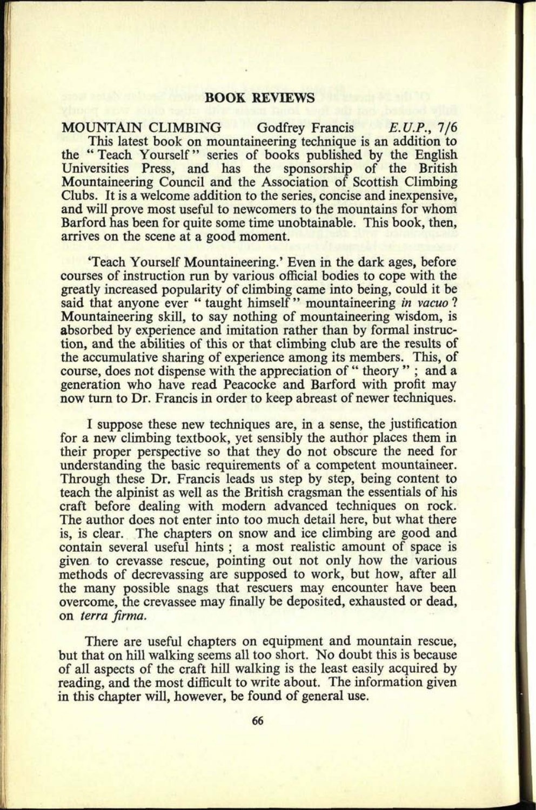## **BOOK REVIEWS**

MOUNTAIN CLIMBING Godfrey Francis *E.U.P.,* 7/6 This latest book on mountaineering technique is an addition to the "Teach Yourself" series of books published by the English Universities Press, and has the sponsorship of the British Mountaineering Council and the Association of Scottish Climbing Clubs. It is a welcome addition to the series, concise and inexpensive, and will prove most useful to newcomers to the mountains for whom Barford has been for quite some time unobtainable. This book, then, arrives on the scene at a good moment.

'Teach Yourself Mountaineering.' Even in the dark ages, before courses of instruction run by various official bodies to cope with the greatly increased popularity of climbing came into being, could it be said that anyone ever " taught himself " mountaineering *in vacua* ? Mountaineering skill, to say nothing of mountaineering wisdom, is absorbed by experience and imitation rather than by formal instruction, and the abilities of this or that climbing club are the results of the accumulative sharing of experience among its members. This, of course, does not dispense with the appreciation of " theory "; and a generation who have read Peacocke and Barford with profit may now turn to Dr. Francis in order to keep abreast of newer techniques.

I suppose these new techniques are, in a sense, the justification for a new climbing textbook, yet sensibly the author places them in their proper perspective so that they do not obscure the need for understanding the basic requirements of a competent mountaineer. Through these Dr, Francis leads us step by step, being content to teach the alpinist as well as the British cragsman the essentials of his craft before dealing with modern advanced techniques on rock. The author does not enter into too much detail here, but what there is, is clear. The chapters on snow and ice climbing are good and contain several useful hints ; a most realistic amount of space is given to crevasse rescue, pointing out not only how the various methods of decrevassing are supposed to work, but how, after all the many possible snags that rescuers may encounter have been overcome, the crevassee may finally be deposited, exhausted or dead, on *terra firma.*

There are useful chapters on equipment and mountain rescue, but that on hill walking seems all too short. No doubt this is because of all aspects of the craft hill walking is the least easily acquired by reading, and the most difficult to write about. The information given in this chapter will, however, be found of general use.